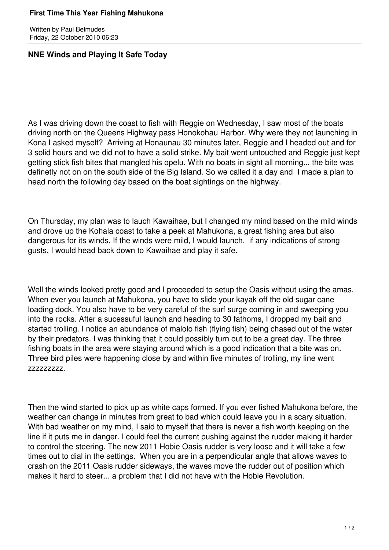## **First Time This Year Fishing Mahukona**

Written by Paul Belmudes Friday, 22 October 2010 06:23

## **NNE Winds and Playing It Safe Today**

As I was driving down the coast to fish with Reggie on Wednesday, I saw most of the boats driving north on the Queens Highway pass Honokohau Harbor. Why were they not launching in Kona I asked myself? Arriving at Honaunau 30 minutes later, Reggie and I headed out and for 3 solid hours and we did not to have a solid strike. My bait went untouched and Reggie just kept getting stick fish bites that mangled his opelu. With no boats in sight all morning... the bite was definetly not on on the south side of the Big Island. So we called it a day and I made a plan to head north the following day based on the boat sightings on the highway.

On Thursday, my plan was to lauch Kawaihae, but I changed my mind based on the mild winds and drove up the Kohala coast to take a peek at Mahukona, a great fishing area but also dangerous for its winds. If the winds were mild, I would launch, if any indications of strong gusts, I would head back down to Kawaihae and play it safe.

Well the winds looked pretty good and I proceeded to setup the Oasis without using the amas. When ever you launch at Mahukona, you have to slide your kayak off the old sugar cane loading dock. You also have to be very careful of the surf surge coming in and sweeping you into the rocks. After a sucessuful launch and heading to 30 fathoms, I dropped my bait and started trolling. I notice an abundance of malolo fish (flying fish) being chased out of the water by their predators. I was thinking that it could possibly turn out to be a great day. The three fishing boats in the area were staying around which is a good indication that a bite was on. Three bird piles were happening close by and within five minutes of trolling, my line went zzzzzzzzz.

Then the wind started to pick up as white caps formed. If you ever fished Mahukona before, the weather can change in minutes from great to bad which could leave you in a scary situation. With bad weather on my mind, I said to myself that there is never a fish worth keeping on the line if it puts me in danger. I could feel the current pushing against the rudder making it harder to control the steering. The new 2011 Hobie Oasis rudder is very loose and it will take a few times out to dial in the settings. When you are in a perpendicular angle that allows waves to crash on the 2011 Oasis rudder sideways, the waves move the rudder out of position which makes it hard to steer... a problem that I did not have with the Hobie Revolution.